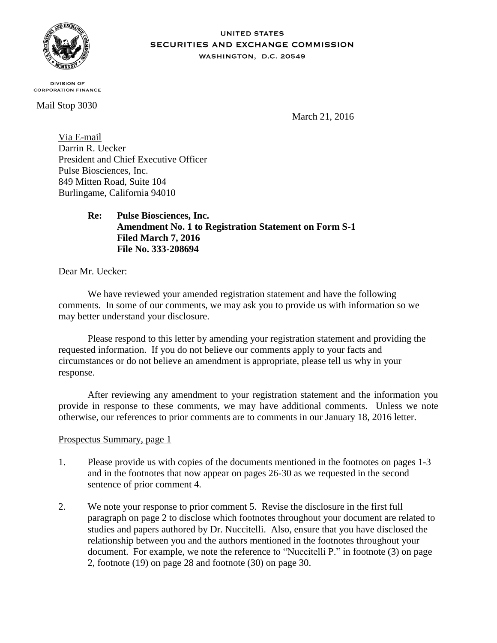

#### **UNITED STATES SECURITIES AND EXCHANGE COMMISSION** WASHINGTON, D.C. 20549

**DIVISION OF CORPORATION FINANCE** 

Mail Stop 3030

March 21, 2016

Via E-mail Darrin R. Uecker President and Chief Executive Officer Pulse Biosciences, Inc. 849 Mitten Road, Suite 104 Burlingame, California 94010

> **Re: Pulse Biosciences, Inc. Amendment No. 1 to Registration Statement on Form S-1 Filed March 7, 2016 File No. 333-208694**

Dear Mr. Uecker:

We have reviewed your amended registration statement and have the following comments. In some of our comments, we may ask you to provide us with information so we may better understand your disclosure.

Please respond to this letter by amending your registration statement and providing the requested information. If you do not believe our comments apply to your facts and circumstances or do not believe an amendment is appropriate, please tell us why in your response.

After reviewing any amendment to your registration statement and the information you provide in response to these comments, we may have additional comments. Unless we note otherwise, our references to prior comments are to comments in our January 18, 2016 letter.

# Prospectus Summary, page 1

- 1. Please provide us with copies of the documents mentioned in the footnotes on pages 1-3 and in the footnotes that now appear on pages 26-30 as we requested in the second sentence of prior comment 4.
- 2. We note your response to prior comment 5. Revise the disclosure in the first full paragraph on page 2 to disclose which footnotes throughout your document are related to studies and papers authored by Dr. Nuccitelli. Also, ensure that you have disclosed the relationship between you and the authors mentioned in the footnotes throughout your document. For example, we note the reference to "Nuccitelli P." in footnote (3) on page 2, footnote (19) on page 28 and footnote (30) on page 30.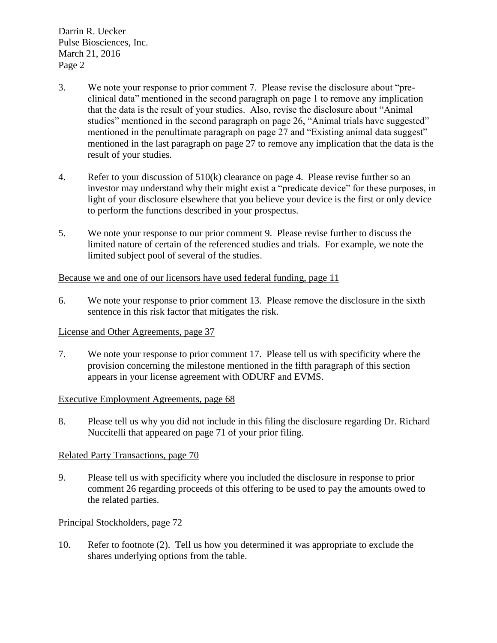Darrin R. Uecker Pulse Biosciences, Inc. March 21, 2016 Page 2

- 3. We note your response to prior comment 7. Please revise the disclosure about "preclinical data" mentioned in the second paragraph on page 1 to remove any implication that the data is the result of your studies. Also, revise the disclosure about "Animal studies" mentioned in the second paragraph on page 26, "Animal trials have suggested" mentioned in the penultimate paragraph on page 27 and "Existing animal data suggest" mentioned in the last paragraph on page 27 to remove any implication that the data is the result of your studies.
- 4. Refer to your discussion of 510(k) clearance on page 4. Please revise further so an investor may understand why their might exist a "predicate device" for these purposes, in light of your disclosure elsewhere that you believe your device is the first or only device to perform the functions described in your prospectus.
- 5. We note your response to our prior comment 9. Please revise further to discuss the limited nature of certain of the referenced studies and trials. For example, we note the limited subject pool of several of the studies.

# Because we and one of our licensors have used federal funding, page 11

6. We note your response to prior comment 13. Please remove the disclosure in the sixth sentence in this risk factor that mitigates the risk.

# License and Other Agreements, page 37

7. We note your response to prior comment 17. Please tell us with specificity where the provision concerning the milestone mentioned in the fifth paragraph of this section appears in your license agreement with ODURF and EVMS.

# Executive Employment Agreements, page 68

8. Please tell us why you did not include in this filing the disclosure regarding Dr. Richard Nuccitelli that appeared on page 71 of your prior filing.

# Related Party Transactions, page 70

9. Please tell us with specificity where you included the disclosure in response to prior comment 26 regarding proceeds of this offering to be used to pay the amounts owed to the related parties.

# Principal Stockholders, page 72

10. Refer to footnote (2). Tell us how you determined it was appropriate to exclude the shares underlying options from the table.